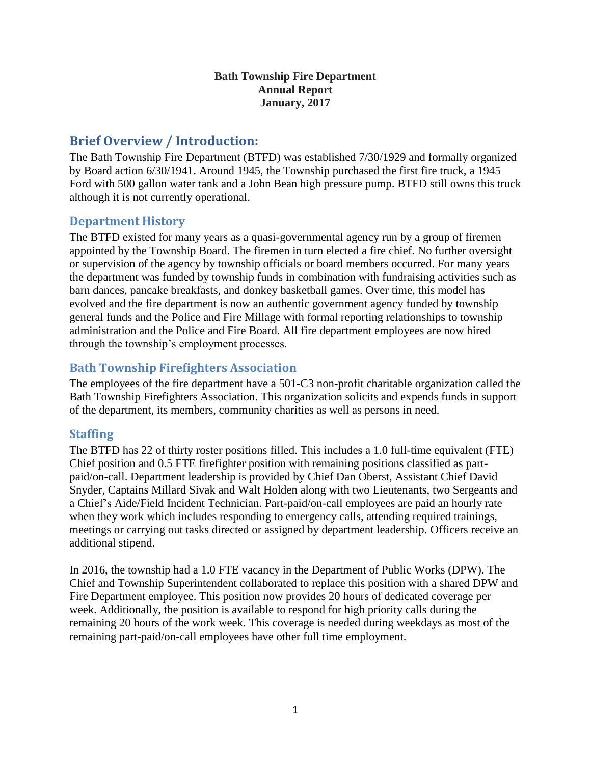#### **Bath Township Fire Department Annual Report January, 2017**

# **Brief Overview / Introduction:**

The Bath Township Fire Department (BTFD) was established 7/30/1929 and formally organized by Board action 6/30/1941. Around 1945, the Township purchased the first fire truck, a 1945 Ford with 500 gallon water tank and a John Bean high pressure pump. BTFD still owns this truck although it is not currently operational.

#### **Department History**

The BTFD existed for many years as a quasi-governmental agency run by a group of firemen appointed by the Township Board. The firemen in turn elected a fire chief. No further oversight or supervision of the agency by township officials or board members occurred. For many years the department was funded by township funds in combination with fundraising activities such as barn dances, pancake breakfasts, and donkey basketball games. Over time, this model has evolved and the fire department is now an authentic government agency funded by township general funds and the Police and Fire Millage with formal reporting relationships to township administration and the Police and Fire Board. All fire department employees are now hired through the township's employment processes.

## **Bath Township Firefighters Association**

The employees of the fire department have a 501-C3 non-profit charitable organization called the Bath Township Firefighters Association. This organization solicits and expends funds in support of the department, its members, community charities as well as persons in need.

#### **Staffing**

The BTFD has 22 of thirty roster positions filled. This includes a 1.0 full-time equivalent (FTE) Chief position and 0.5 FTE firefighter position with remaining positions classified as partpaid/on-call. Department leadership is provided by Chief Dan Oberst, Assistant Chief David Snyder, Captains Millard Sivak and Walt Holden along with two Lieutenants, two Sergeants and a Chief's Aide/Field Incident Technician. Part-paid/on-call employees are paid an hourly rate when they work which includes responding to emergency calls, attending required trainings, meetings or carrying out tasks directed or assigned by department leadership. Officers receive an additional stipend.

In 2016, the township had a 1.0 FTE vacancy in the Department of Public Works (DPW). The Chief and Township Superintendent collaborated to replace this position with a shared DPW and Fire Department employee. This position now provides 20 hours of dedicated coverage per week. Additionally, the position is available to respond for high priority calls during the remaining 20 hours of the work week. This coverage is needed during weekdays as most of the remaining part-paid/on-call employees have other full time employment.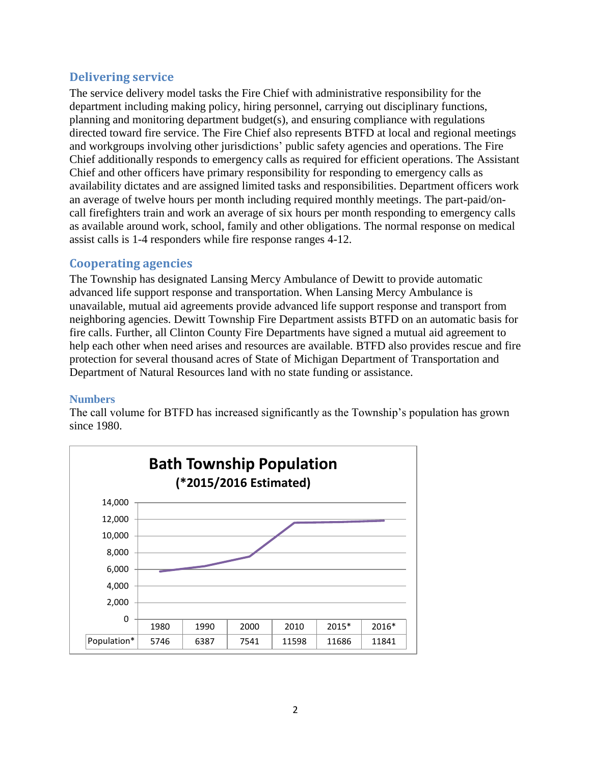## **Delivering service**

The service delivery model tasks the Fire Chief with administrative responsibility for the department including making policy, hiring personnel, carrying out disciplinary functions, planning and monitoring department budget(s), and ensuring compliance with regulations directed toward fire service. The Fire Chief also represents BTFD at local and regional meetings and workgroups involving other jurisdictions' public safety agencies and operations. The Fire Chief additionally responds to emergency calls as required for efficient operations. The Assistant Chief and other officers have primary responsibility for responding to emergency calls as availability dictates and are assigned limited tasks and responsibilities. Department officers work an average of twelve hours per month including required monthly meetings. The part-paid/oncall firefighters train and work an average of six hours per month responding to emergency calls as available around work, school, family and other obligations. The normal response on medical assist calls is 1-4 responders while fire response ranges 4-12.

## **Cooperating agencies**

The Township has designated Lansing Mercy Ambulance of Dewitt to provide automatic advanced life support response and transportation. When Lansing Mercy Ambulance is unavailable, mutual aid agreements provide advanced life support response and transport from neighboring agencies. Dewitt Township Fire Department assists BTFD on an automatic basis for fire calls. Further, all Clinton County Fire Departments have signed a mutual aid agreement to help each other when need arises and resources are available. BTFD also provides rescue and fire protection for several thousand acres of State of Michigan Department of Transportation and Department of Natural Resources land with no state funding or assistance.

#### **Numbers**

The call volume for BTFD has increased significantly as the Township's population has grown since 1980.

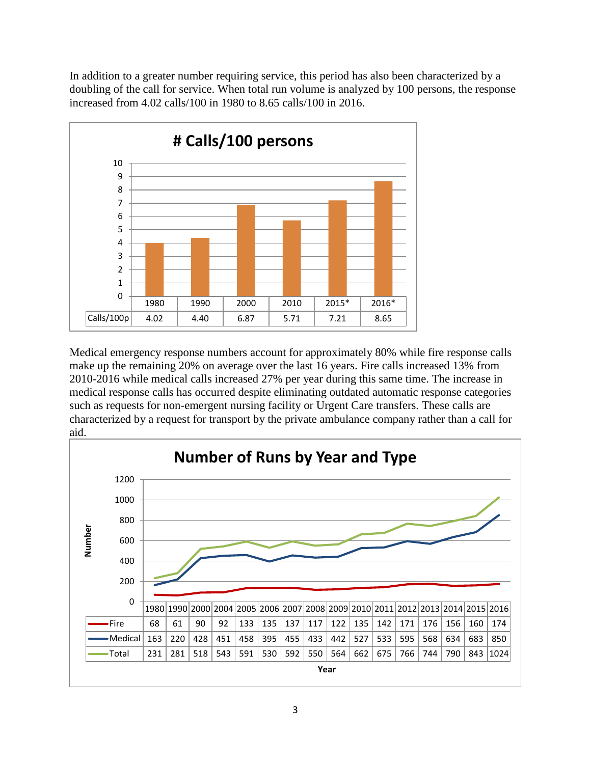In addition to a greater number requiring service, this period has also been characterized by a doubling of the call for service. When total run volume is analyzed by 100 persons, the response increased from 4.02 calls/100 in 1980 to 8.65 calls/100 in 2016.



Medical emergency response numbers account for approximately 80% while fire response calls make up the remaining 20% on average over the last 16 years. Fire calls increased 13% from 2010-2016 while medical calls increased 27% per year during this same time. The increase in medical response calls has occurred despite eliminating outdated automatic response categories such as requests for non-emergent nursing facility or Urgent Care transfers. These calls are characterized by a request for transport by the private ambulance company rather than a call for aid.

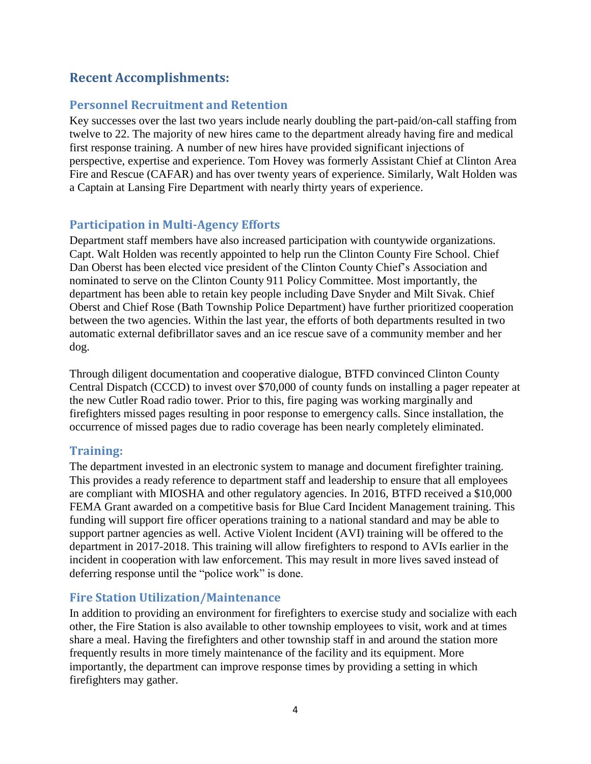# **Recent Accomplishments:**

## **Personnel Recruitment and Retention**

Key successes over the last two years include nearly doubling the part-paid/on-call staffing from twelve to 22. The majority of new hires came to the department already having fire and medical first response training. A number of new hires have provided significant injections of perspective, expertise and experience. Tom Hovey was formerly Assistant Chief at Clinton Area Fire and Rescue (CAFAR) and has over twenty years of experience. Similarly, Walt Holden was a Captain at Lansing Fire Department with nearly thirty years of experience.

## **Participation in Multi-Agency Efforts**

Department staff members have also increased participation with countywide organizations. Capt. Walt Holden was recently appointed to help run the Clinton County Fire School. Chief Dan Oberst has been elected vice president of the Clinton County Chief's Association and nominated to serve on the Clinton County 911 Policy Committee. Most importantly, the department has been able to retain key people including Dave Snyder and Milt Sivak. Chief Oberst and Chief Rose (Bath Township Police Department) have further prioritized cooperation between the two agencies. Within the last year, the efforts of both departments resulted in two automatic external defibrillator saves and an ice rescue save of a community member and her dog.

Through diligent documentation and cooperative dialogue, BTFD convinced Clinton County Central Dispatch (CCCD) to invest over \$70,000 of county funds on installing a pager repeater at the new Cutler Road radio tower. Prior to this, fire paging was working marginally and firefighters missed pages resulting in poor response to emergency calls. Since installation, the occurrence of missed pages due to radio coverage has been nearly completely eliminated.

## **Training:**

The department invested in an electronic system to manage and document firefighter training. This provides a ready reference to department staff and leadership to ensure that all employees are compliant with MIOSHA and other regulatory agencies. In 2016, BTFD received a \$10,000 FEMA Grant awarded on a competitive basis for Blue Card Incident Management training. This funding will support fire officer operations training to a national standard and may be able to support partner agencies as well. Active Violent Incident (AVI) training will be offered to the department in 2017-2018. This training will allow firefighters to respond to AVIs earlier in the incident in cooperation with law enforcement. This may result in more lives saved instead of deferring response until the "police work" is done.

## **Fire Station Utilization/Maintenance**

In addition to providing an environment for firefighters to exercise study and socialize with each other, the Fire Station is also available to other township employees to visit, work and at times share a meal. Having the firefighters and other township staff in and around the station more frequently results in more timely maintenance of the facility and its equipment. More importantly, the department can improve response times by providing a setting in which firefighters may gather.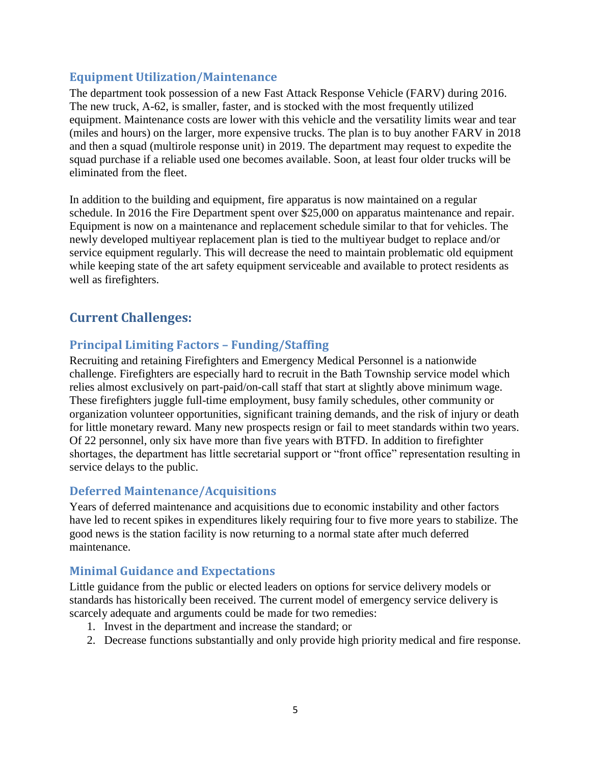#### **Equipment Utilization/Maintenance**

The department took possession of a new Fast Attack Response Vehicle (FARV) during 2016. The new truck, A-62, is smaller, faster, and is stocked with the most frequently utilized equipment. Maintenance costs are lower with this vehicle and the versatility limits wear and tear (miles and hours) on the larger, more expensive trucks. The plan is to buy another FARV in 2018 and then a squad (multirole response unit) in 2019. The department may request to expedite the squad purchase if a reliable used one becomes available. Soon, at least four older trucks will be eliminated from the fleet.

In addition to the building and equipment, fire apparatus is now maintained on a regular schedule. In 2016 the Fire Department spent over \$25,000 on apparatus maintenance and repair. Equipment is now on a maintenance and replacement schedule similar to that for vehicles. The newly developed multiyear replacement plan is tied to the multiyear budget to replace and/or service equipment regularly. This will decrease the need to maintain problematic old equipment while keeping state of the art safety equipment serviceable and available to protect residents as well as firefighters.

# **Current Challenges:**

## **Principal Limiting Factors – Funding/Staffing**

Recruiting and retaining Firefighters and Emergency Medical Personnel is a nationwide challenge. Firefighters are especially hard to recruit in the Bath Township service model which relies almost exclusively on part-paid/on-call staff that start at slightly above minimum wage. These firefighters juggle full-time employment, busy family schedules, other community or organization volunteer opportunities, significant training demands, and the risk of injury or death for little monetary reward. Many new prospects resign or fail to meet standards within two years. Of 22 personnel, only six have more than five years with BTFD. In addition to firefighter shortages, the department has little secretarial support or "front office" representation resulting in service delays to the public.

## **Deferred Maintenance/Acquisitions**

Years of deferred maintenance and acquisitions due to economic instability and other factors have led to recent spikes in expenditures likely requiring four to five more years to stabilize. The good news is the station facility is now returning to a normal state after much deferred maintenance.

## **Minimal Guidance and Expectations**

Little guidance from the public or elected leaders on options for service delivery models or standards has historically been received. The current model of emergency service delivery is scarcely adequate and arguments could be made for two remedies:

- 1. Invest in the department and increase the standard; or
- 2. Decrease functions substantially and only provide high priority medical and fire response.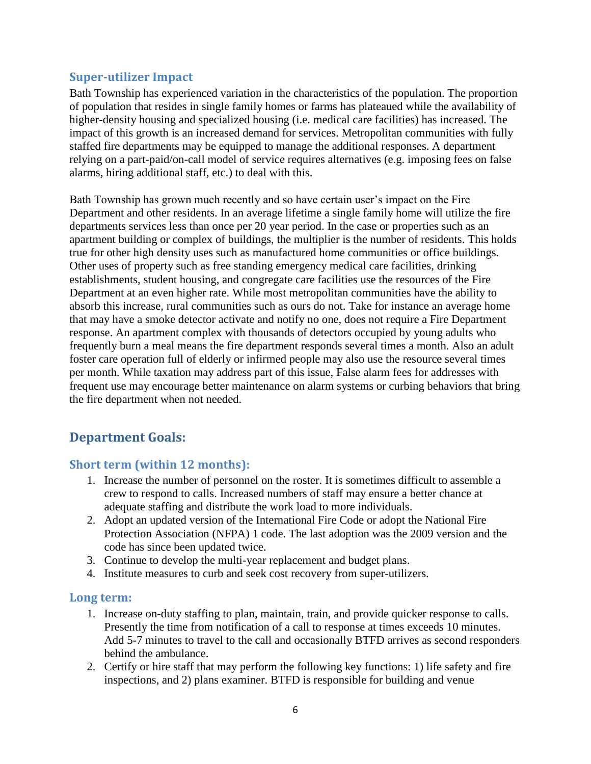#### **Super-utilizer Impact**

Bath Township has experienced variation in the characteristics of the population. The proportion of population that resides in single family homes or farms has plateaued while the availability of higher-density housing and specialized housing (i.e. medical care facilities) has increased. The impact of this growth is an increased demand for services. Metropolitan communities with fully staffed fire departments may be equipped to manage the additional responses. A department relying on a part-paid/on-call model of service requires alternatives (e.g. imposing fees on false alarms, hiring additional staff, etc.) to deal with this.

Bath Township has grown much recently and so have certain user's impact on the Fire Department and other residents. In an average lifetime a single family home will utilize the fire departments services less than once per 20 year period. In the case or properties such as an apartment building or complex of buildings, the multiplier is the number of residents. This holds true for other high density uses such as manufactured home communities or office buildings. Other uses of property such as free standing emergency medical care facilities, drinking establishments, student housing, and congregate care facilities use the resources of the Fire Department at an even higher rate. While most metropolitan communities have the ability to absorb this increase, rural communities such as ours do not. Take for instance an average home that may have a smoke detector activate and notify no one, does not require a Fire Department response. An apartment complex with thousands of detectors occupied by young adults who frequently burn a meal means the fire department responds several times a month. Also an adult foster care operation full of elderly or infirmed people may also use the resource several times per month. While taxation may address part of this issue, False alarm fees for addresses with frequent use may encourage better maintenance on alarm systems or curbing behaviors that bring the fire department when not needed.

# **Department Goals:**

## **Short term (within 12 months):**

- 1. Increase the number of personnel on the roster. It is sometimes difficult to assemble a crew to respond to calls. Increased numbers of staff may ensure a better chance at adequate staffing and distribute the work load to more individuals.
- 2. Adopt an updated version of the International Fire Code or adopt the National Fire Protection Association (NFPA) 1 code. The last adoption was the 2009 version and the code has since been updated twice.
- 3. Continue to develop the multi-year replacement and budget plans.
- 4. Institute measures to curb and seek cost recovery from super-utilizers.

#### **Long term:**

- 1. Increase on-duty staffing to plan, maintain, train, and provide quicker response to calls. Presently the time from notification of a call to response at times exceeds 10 minutes. Add 5-7 minutes to travel to the call and occasionally BTFD arrives as second responders behind the ambulance.
- 2. Certify or hire staff that may perform the following key functions: 1) life safety and fire inspections, and 2) plans examiner. BTFD is responsible for building and venue